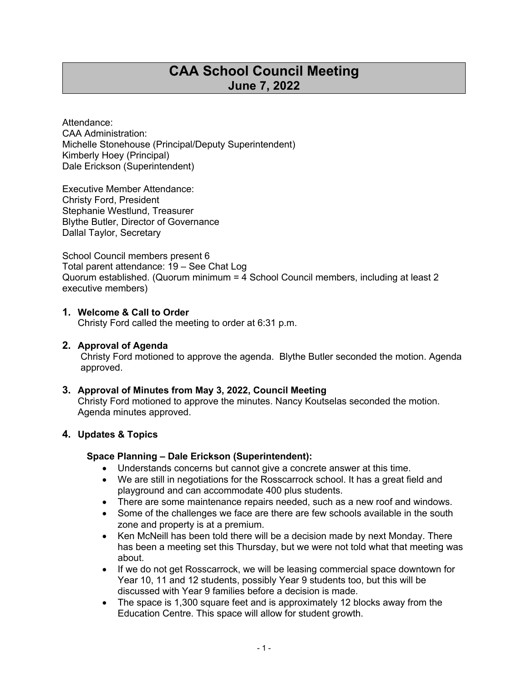# **CAA School Council Meeting June 7, 2022**

Attendance: CAA Administration: Michelle Stonehouse (Principal/Deputy Superintendent) Kimberly Hoey (Principal) Dale Erickson (Superintendent)

Executive Member Attendance: Christy Ford, President Stephanie Westlund, Treasurer Blythe Butler, Director of Governance Dallal Taylor, Secretary

School Council members present 6 Total parent attendance: 19 – See Chat Log Quorum established. (Quorum minimum = 4 School Council members, including at least 2 executive members)

#### **1. Welcome & Call to Order**

Christy Ford called the meeting to order at 6:31 p.m.

#### **2. Approval of Agenda**

Christy Ford motioned to approve the agenda. Blythe Butler seconded the motion. Agenda approved.

#### **3. Approval of Minutes from May 3, 2022, Council Meeting**

Christy Ford motioned to approve the minutes. Nancy Koutselas seconded the motion. Agenda minutes approved.

#### **4. Updates & Topics**

#### **Space Planning – Dale Erickson (Superintendent):**

- Understands concerns but cannot give a concrete answer at this time.
- We are still in negotiations for the Rosscarrock school. It has a great field and playground and can accommodate 400 plus students.
- There are some maintenance repairs needed, such as a new roof and windows.
- Some of the challenges we face are there are few schools available in the south zone and property is at a premium.
- Ken McNeill has been told there will be a decision made by next Monday. There has been a meeting set this Thursday, but we were not told what that meeting was about.
- If we do not get Rosscarrock, we will be leasing commercial space downtown for Year 10, 11 and 12 students, possibly Year 9 students too, but this will be discussed with Year 9 families before a decision is made.
- The space is 1,300 square feet and is approximately 12 blocks away from the Education Centre. This space will allow for student growth.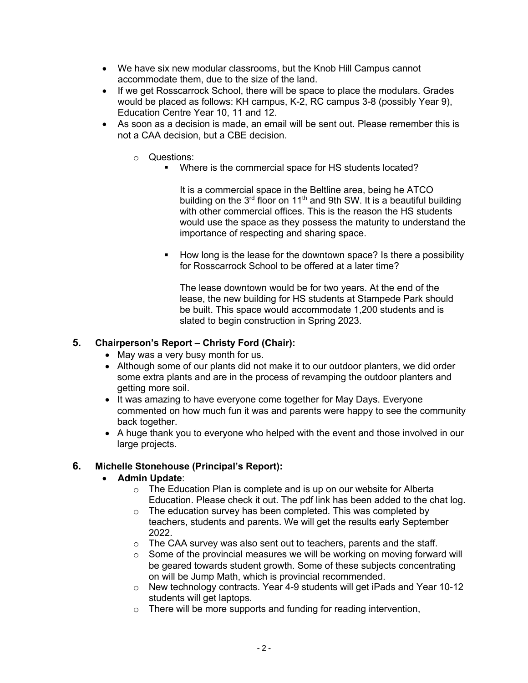- We have six new modular classrooms, but the Knob Hill Campus cannot accommodate them, due to the size of the land.
- If we get Rosscarrock School, there will be space to place the modulars. Grades would be placed as follows: KH campus, K-2, RC campus 3-8 (possibly Year 9), Education Centre Year 10, 11 and 12.
- As soon as a decision is made, an email will be sent out. Please remember this is not a CAA decision, but a CBE decision.
	- o Questions:
		- ! Where is the commercial space for HS students located?

It is a commercial space in the Beltline area, being he ATCO building on the  $3<sup>rd</sup>$  floor on 11<sup>th</sup> and 9th SW. It is a beautiful building with other commercial offices. This is the reason the HS students would use the space as they possess the maturity to understand the importance of respecting and sharing space.

! How long is the lease for the downtown space? Is there a possibility for Rosscarrock School to be offered at a later time?

The lease downtown would be for two years. At the end of the lease, the new building for HS students at Stampede Park should be built. This space would accommodate 1,200 students and is slated to begin construction in Spring 2023.

#### **5. Chairperson's Report – Christy Ford (Chair):**

- May was a very busy month for us.
- Although some of our plants did not make it to our outdoor planters, we did order some extra plants and are in the process of revamping the outdoor planters and getting more soil.
- It was amazing to have everyone come together for May Days. Everyone commented on how much fun it was and parents were happy to see the community back together.
- A huge thank you to everyone who helped with the event and those involved in our large projects.

# **6. Michelle Stonehouse (Principal's Report):**

#### • **Admin Update**:

- o The Education Plan is complete and is up on our website for Alberta Education. Please check it out. The pdf link has been added to the chat log.
- $\circ$  The education survey has been completed. This was completed by teachers, students and parents. We will get the results early September 2022.
- $\circ$  The CAA survey was also sent out to teachers, parents and the staff.
- $\circ$  Some of the provincial measures we will be working on moving forward will be geared towards student growth. Some of these subjects concentrating on will be Jump Math, which is provincial recommended.
- $\circ$  New technology contracts. Year 4-9 students will get iPads and Year 10-12 students will get laptops.
- o There will be more supports and funding for reading intervention,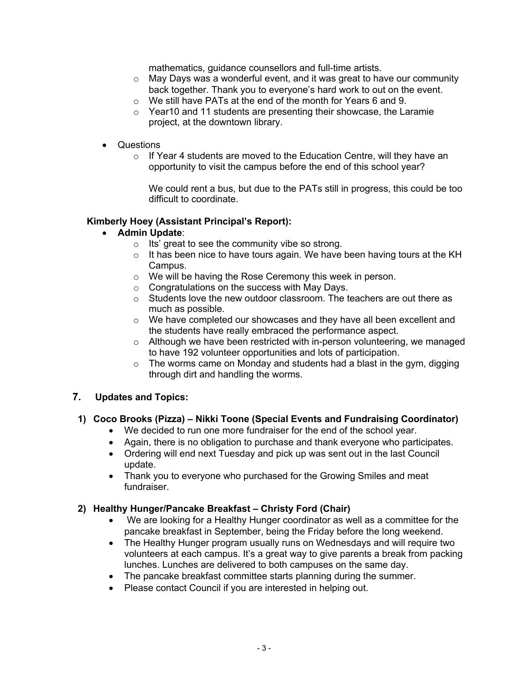mathematics, guidance counsellors and full-time artists.

- $\circ$  May Days was a wonderful event, and it was great to have our community back together. Thank you to everyone's hard work to out on the event.
- $\circ$  We still have PATs at the end of the month for Years 6 and 9.
- $\circ$  Year10 and 11 students are presenting their showcase, the Laramie project, at the downtown library.
- Questions
	- o If Year 4 students are moved to the Education Centre, will they have an opportunity to visit the campus before the end of this school year?

We could rent a bus, but due to the PATs still in progress, this could be too difficult to coordinate.

## **Kimberly Hoey (Assistant Principal's Report):**

- **Admin Update**:
	- o Its' great to see the community vibe so strong.
	- $\circ$  It has been nice to have tours again. We have been having tours at the KH Campus.
	- o We will be having the Rose Ceremony this week in person.
	- o Congratulations on the success with May Days.
	- $\circ$  Students love the new outdoor classroom. The teachers are out there as much as possible.
	- o We have completed our showcases and they have all been excellent and the students have really embraced the performance aspect.
	- o Although we have been restricted with in-person volunteering, we managed to have 192 volunteer opportunities and lots of participation.
	- $\circ$  The worms came on Monday and students had a blast in the gym, digging through dirt and handling the worms.

#### **7. Updates and Topics:**

# **1) Coco Brooks (Pizza) – Nikki Toone (Special Events and Fundraising Coordinator)**

- We decided to run one more fundraiser for the end of the school year.
- Again, there is no obligation to purchase and thank everyone who participates.
- Ordering will end next Tuesday and pick up was sent out in the last Council update.
- Thank you to everyone who purchased for the Growing Smiles and meat fundraiser.

#### **2) Healthy Hunger/Pancake Breakfast – Christy Ford (Chair)**

- We are looking for a Healthy Hunger coordinator as well as a committee for the pancake breakfast in September, being the Friday before the long weekend.
- The Healthy Hunger program usually runs on Wednesdays and will require two volunteers at each campus. It's a great way to give parents a break from packing lunches. Lunches are delivered to both campuses on the same day.
- The pancake breakfast committee starts planning during the summer.
- Please contact Council if you are interested in helping out.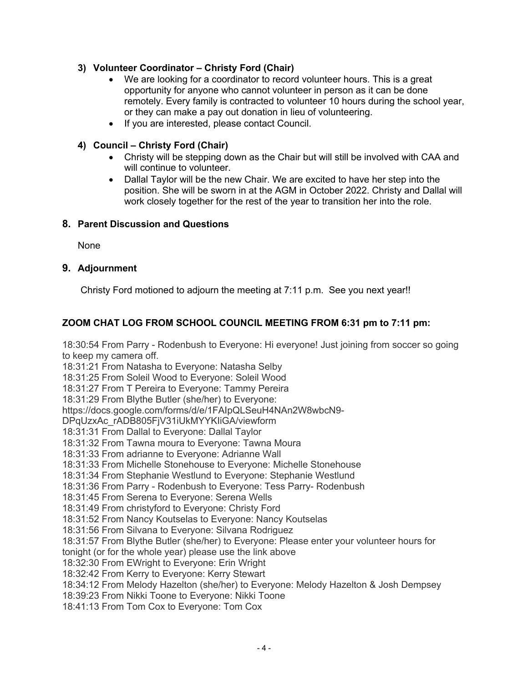# **3) Volunteer Coordinator – Christy Ford (Chair)**

- We are looking for a coordinator to record volunteer hours. This is a great opportunity for anyone who cannot volunteer in person as it can be done remotely. Every family is contracted to volunteer 10 hours during the school year, or they can make a pay out donation in lieu of volunteering.
- If you are interested, please contact Council.

# **4) Council – Christy Ford (Chair)**

- Christy will be stepping down as the Chair but will still be involved with CAA and will continue to volunteer.
- Dallal Taylor will be the new Chair. We are excited to have her step into the position. She will be sworn in at the AGM in October 2022. Christy and Dallal will work closely together for the rest of the year to transition her into the role.

## **8. Parent Discussion and Questions**

None

# **9. Adjournment**

Christy Ford motioned to adjourn the meeting at 7:11 p.m. See you next year!!

# **ZOOM CHAT LOG FROM SCHOOL COUNCIL MEETING FROM 6:31 pm to 7:11 pm:**

18:30:54 From Parry - Rodenbush to Everyone: Hi everyone! Just joining from soccer so going to keep my camera off.

18:31:21 From Natasha to Everyone: Natasha Selby

18:31:25 From Soleil Wood to Everyone: Soleil Wood

18:31:27 From T Pereira to Everyone: Tammy Pereira

18:31:29 From Blythe Butler (she/her) to Everyone:

https://docs.google.com/forms/d/e/1FAIpQLSeuH4NAn2W8wbcN9-

DPqUzxAc\_rADB805FjV31iUkMYYKIiGA/viewform

18:31:31 From Dallal to Everyone: Dallal Taylor

18:31:32 From Tawna moura to Everyone: Tawna Moura

18:31:33 From adrianne to Everyone: Adrianne Wall

18:31:33 From Michelle Stonehouse to Everyone: Michelle Stonehouse

18:31:34 From Stephanie Westlund to Everyone: Stephanie Westlund

18:31:36 From Parry - Rodenbush to Everyone: Tess Parry- Rodenbush

18:31:45 From Serena to Everyone: Serena Wells

18:31:49 From christyford to Everyone: Christy Ford

18:31:52 From Nancy Koutselas to Everyone: Nancy Koutselas

18:31:56 From Silvana to Everyone: Silvana Rodriguez

18:31:57 From Blythe Butler (she/her) to Everyone: Please enter your volunteer hours for

tonight (or for the whole year) please use the link above

18:32:30 From EWright to Everyone: Erin Wright

18:32:42 From Kerry to Everyone: Kerry Stewart

18:34:12 From Melody Hazelton (she/her) to Everyone: Melody Hazelton & Josh Dempsey

18:39:23 From Nikki Toone to Everyone: Nikki Toone

18:41:13 From Tom Cox to Everyone: Tom Cox